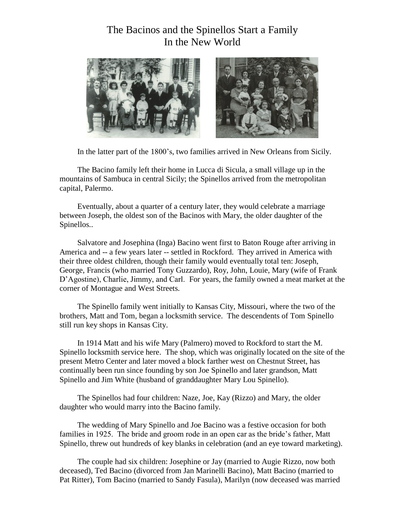## The Bacinos and the Spinellos Start a Family In the New World



In the latter part of the 1800's, two families arrived in New Orleans from Sicily.

The Bacino family left their home in Lucca di Sicula, a small village up in the mountains of Sambuca in central Sicily; the Spinellos arrived from the metropolitan capital, Palermo.

Eventually, about a quarter of a century later, they would celebrate a marriage between Joseph, the oldest son of the Bacinos with Mary, the older daughter of the Spinellos..

Salvatore and Josephina (Inga) Bacino went first to Baton Rouge after arriving in America and -- a few years later -- settled in Rockford. They arrived in America with their three oldest children, though their family would eventually total ten: Joseph, George, Francis (who married Tony Guzzardo), Roy, John, Louie, Mary (wife of Frank D'Agostine), Charlie, Jimmy, and Carl. For years, the family owned a meat market at the corner of Montague and West Streets.

The Spinello family went initially to Kansas City, Missouri, where the two of the brothers, Matt and Tom, began a locksmith service. The descendents of Tom Spinello still run key shops in Kansas City.

In 1914 Matt and his wife Mary (Palmero) moved to Rockford to start the M. Spinello locksmith service here. The shop, which was originally located on the site of the present Metro Center and later moved a block farther west on Chestnut Street, has continually been run since founding by son Joe Spinello and later grandson, Matt Spinello and Jim White (husband of granddaughter Mary Lou Spinello).

The Spinellos had four children: Naze, Joe, Kay (Rizzo) and Mary, the older daughter who would marry into the Bacino family.

The wedding of Mary Spinello and Joe Bacino was a festive occasion for both families in 1925. The bride and groom rode in an open car as the bride's father, Matt Spinello, threw out hundreds of key blanks in celebration (and an eye toward marketing).

The couple had six children: Josephine or Jay (married to Augie Rizzo, now both deceased), Ted Bacino (divorced from Jan Marinelli Bacino), Matt Bacino (married to Pat Ritter), Tom Bacino (married to Sandy Fasula), Marilyn (now deceased was married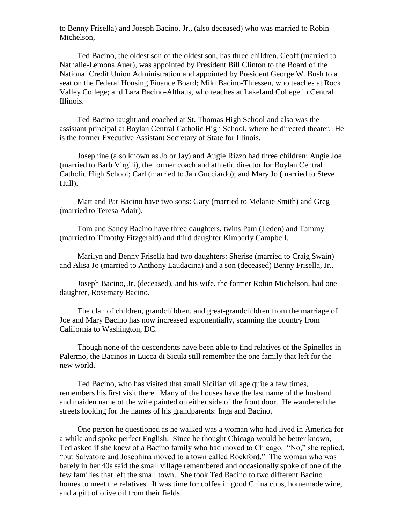to Benny Frisella) and Joesph Bacino, Jr., (also deceased) who was married to Robin Michelson,

Ted Bacino, the oldest son of the oldest son, has three children. Geoff (married to Nathalie-Lemons Auer), was appointed by President Bill Clinton to the Board of the National Credit Union Administration and appointed by President George W. Bush to a seat on the Federal Housing Finance Board; Miki Bacino-Thiessen, who teaches at Rock Valley College; and Lara Bacino-Althaus, who teaches at Lakeland College in Central Illinois.

Ted Bacino taught and coached at St. Thomas High School and also was the assistant principal at Boylan Central Catholic High School, where he directed theater. He is the former Executive Assistant Secretary of State for Illinois.

Josephine (also known as Jo or Jay) and Augie Rizzo had three children: Augie Joe (married to Barb Virgili), the former coach and athletic director for Boylan Central Catholic High School; Carl (married to Jan Gucciardo); and Mary Jo (married to Steve Hull).

Matt and Pat Bacino have two sons: Gary (married to Melanie Smith) and Greg (married to Teresa Adair).

Tom and Sandy Bacino have three daughters, twins Pam (Leden) and Tammy (married to Timothy Fitzgerald) and third daughter Kimberly Campbell.

Marilyn and Benny Frisella had two daughters: Sherise (married to Craig Swain) and Alisa Jo (married to Anthony Laudacina) and a son (deceased) Benny Frisella, Jr..

Joseph Bacino, Jr. (deceased), and his wife, the former Robin Michelson, had one daughter, Rosemary Bacino.

The clan of children, grandchildren, and great-grandchildren from the marriage of Joe and Mary Bacino has now increased exponentially, scanning the country from California to Washington, DC.

Though none of the descendents have been able to find relatives of the Spinellos in Palermo, the Bacinos in Lucca di Sicula still remember the one family that left for the new world.

Ted Bacino, who has visited that small Sicilian village quite a few times, remembers his first visit there. Many of the houses have the last name of the husband and maiden name of the wife painted on either side of the front door. He wandered the streets looking for the names of his grandparents: Inga and Bacino.

One person he questioned as he walked was a woman who had lived in America for a while and spoke perfect English. Since he thought Chicago would be better known, Ted asked if she knew of a Bacino family who had moved to Chicago. "No," she replied, "but Salvatore and Josephina moved to a town called Rockford." The woman who was barely in her 40s said the small village remembered and occasionally spoke of one of the few families that left the small town. She took Ted Bacino to two different Bacino homes to meet the relatives. It was time for coffee in good China cups, homemade wine, and a gift of olive oil from their fields.